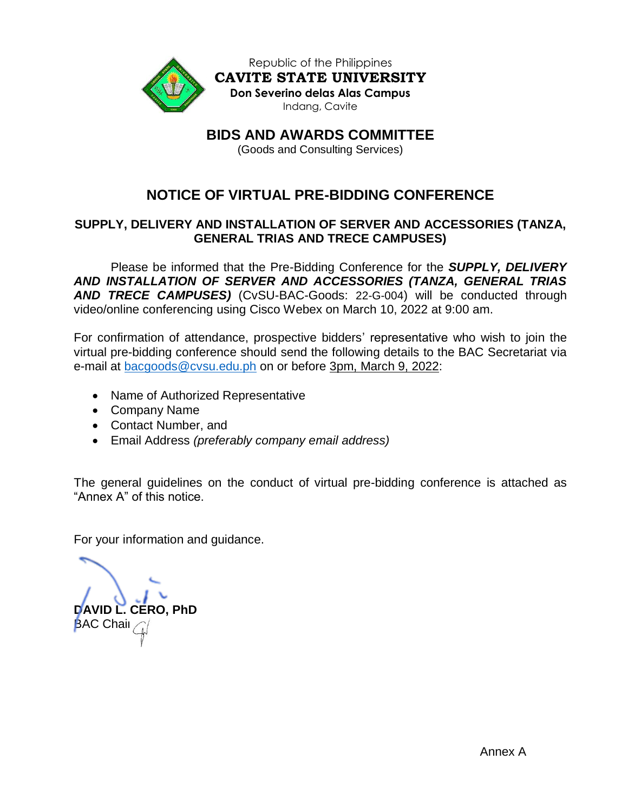

Republic of the Philippines **CAVITE STATE UNIVERSITY Don Severino delas Alas Campus** Indang, Cavite

**BIDS AND AWARDS COMMITTEE**

(Goods and Consulting Services)

# **NOTICE OF VIRTUAL PRE-BIDDING CONFERENCE**

## **SUPPLY, DELIVERY AND INSTALLATION OF SERVER AND ACCESSORIES (TANZA, GENERAL TRIAS AND TRECE CAMPUSES)**

Please be informed that the Pre-Bidding Conference for the *SUPPLY, DELIVERY AND INSTALLATION OF SERVER AND ACCESSORIES (TANZA, GENERAL TRIAS AND TRECE CAMPUSES)* (CvSU-BAC-Goods: 22-G-004) will be conducted through video/online conferencing using Cisco Webex on March 10, 2022 at 9:00 am.

For confirmation of attendance, prospective bidders' representative who wish to join the virtual pre-bidding conference should send the following details to the BAC Secretariat via e-mail at [bacgoods@cvsu.edu.ph](mailto:bacgoods@cvsu.edu.ph) on or before 3pm, March 9, 2022:

- Name of Authorized Representative
- Company Name
- Contact Number, and
- Email Address *(preferably company email address)*

The general guidelines on the conduct of virtual pre-bidding conference is attached as "Annex A" of this notice.

For your information and guidance.

**DAVID L. CERO, PhD BAC Chair**